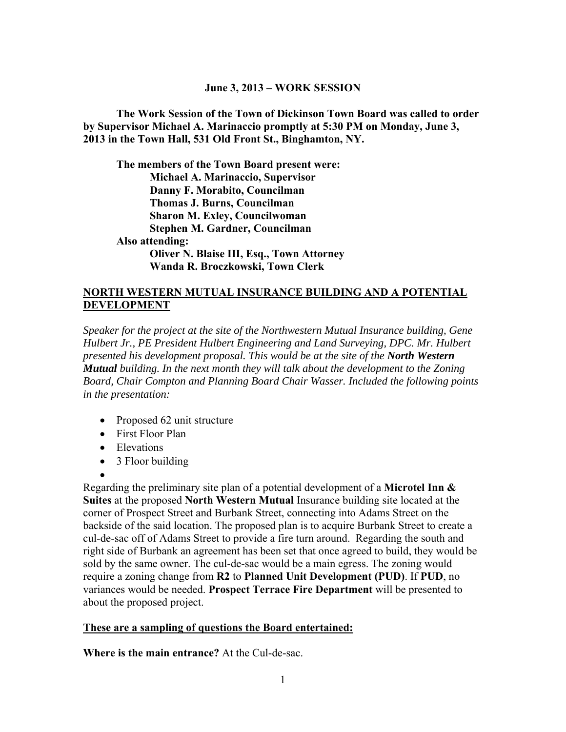#### **June 3, 2013 – WORK SESSION**

**The Work Session of the Town of Dickinson Town Board was called to order by Supervisor Michael A. Marinaccio promptly at 5:30 PM on Monday, June 3, 2013 in the Town Hall, 531 Old Front St., Binghamton, NY.** 

**The members of the Town Board present were: Michael A. Marinaccio, Supervisor Danny F. Morabito, Councilman Thomas J. Burns, Councilman Sharon M. Exley, Councilwoman Stephen M. Gardner, Councilman Also attending: Oliver N. Blaise III, Esq., Town Attorney Wanda R. Broczkowski, Town Clerk** 

#### **NORTH WESTERN MUTUAL INSURANCE BUILDING AND A POTENTIAL DEVELOPMENT**

*Speaker for the project at the site of the Northwestern Mutual Insurance building, Gene Hulbert Jr., PE President Hulbert Engineering and Land Surveying, DPC. Mr. Hulbert presented his development proposal. This would be at the site of the North Western Mutual building. In the next month they will talk about the development to the Zoning Board, Chair Compton and Planning Board Chair Wasser. Included the following points in the presentation:* 

- Proposed 62 unit structure
- First Floor Plan
- Elevations
- 3 Floor building
- $\bullet$

Regarding the preliminary site plan of a potential development of a **Microtel Inn & Suites** at the proposed **North Western Mutual** Insurance building site located at the corner of Prospect Street and Burbank Street, connecting into Adams Street on the backside of the said location. The proposed plan is to acquire Burbank Street to create a cul-de-sac off of Adams Street to provide a fire turn around. Regarding the south and right side of Burbank an agreement has been set that once agreed to build, they would be sold by the same owner. The cul-de-sac would be a main egress. The zoning would require a zoning change from **R2** to **Planned Unit Development (PUD)**. If **PUD**, no variances would be needed. **Prospect Terrace Fire Department** will be presented to about the proposed project.

#### **These are a sampling of questions the Board entertained:**

**Where is the main entrance?** At the Cul-de-sac.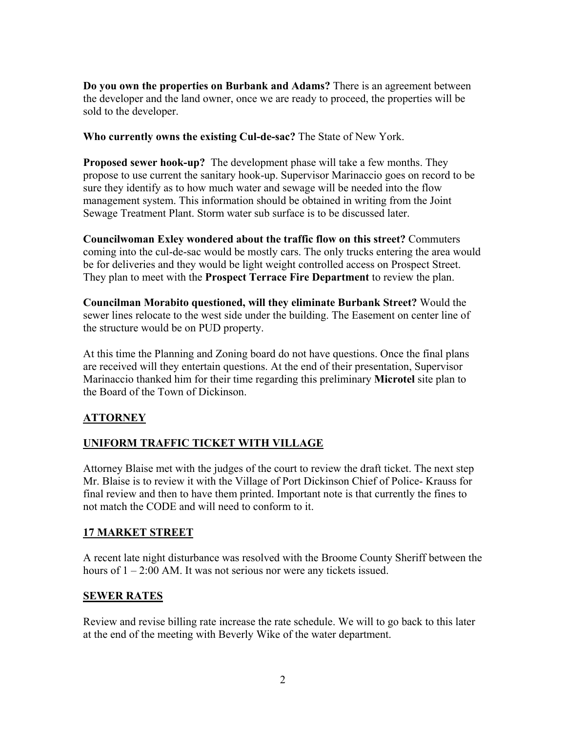**Do you own the properties on Burbank and Adams?** There is an agreement between the developer and the land owner, once we are ready to proceed, the properties will be sold to the developer.

**Who currently owns the existing Cul-de-sac?** The State of New York.

**Proposed sewer hook-up?** The development phase will take a few months. They propose to use current the sanitary hook-up. Supervisor Marinaccio goes on record to be sure they identify as to how much water and sewage will be needed into the flow management system. This information should be obtained in writing from the Joint Sewage Treatment Plant. Storm water sub surface is to be discussed later.

**Councilwoman Exley wondered about the traffic flow on this street?** Commuters coming into the cul-de-sac would be mostly cars. The only trucks entering the area would be for deliveries and they would be light weight controlled access on Prospect Street. They plan to meet with the **Prospect Terrace Fire Department** to review the plan.

**Councilman Morabito questioned, will they eliminate Burbank Street?** Would the sewer lines relocate to the west side under the building. The Easement on center line of the structure would be on PUD property.

At this time the Planning and Zoning board do not have questions. Once the final plans are received will they entertain questions. At the end of their presentation, Supervisor Marinaccio thanked him for their time regarding this preliminary **Microtel** site plan to the Board of the Town of Dickinson.

## **ATTORNEY**

## **UNIFORM TRAFFIC TICKET WITH VILLAGE**

Attorney Blaise met with the judges of the court to review the draft ticket. The next step Mr. Blaise is to review it with the Village of Port Dickinson Chief of Police- Krauss for final review and then to have them printed. Important note is that currently the fines to not match the CODE and will need to conform to it.

## **17 MARKET STREET**

A recent late night disturbance was resolved with the Broome County Sheriff between the hours of  $1 - 2:00$  AM. It was not serious nor were any tickets issued.

## **SEWER RATES**

Review and revise billing rate increase the rate schedule. We will to go back to this later at the end of the meeting with Beverly Wike of the water department.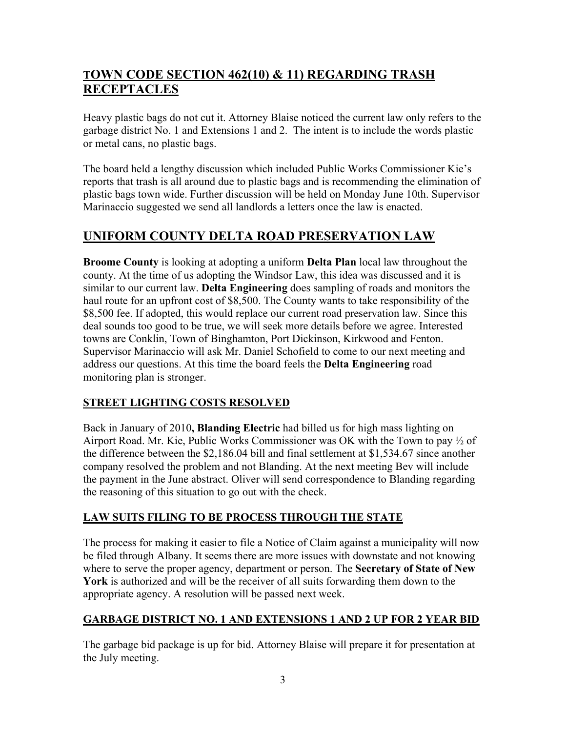# **TOWN CODE SECTION 462(10) & 11) REGARDING TRASH RECEPTACLES**

Heavy plastic bags do not cut it. Attorney Blaise noticed the current law only refers to the garbage district No. 1 and Extensions 1 and 2. The intent is to include the words plastic or metal cans, no plastic bags.

The board held a lengthy discussion which included Public Works Commissioner Kie's reports that trash is all around due to plastic bags and is recommending the elimination of plastic bags town wide. Further discussion will be held on Monday June 10th. Supervisor Marinaccio suggested we send all landlords a letters once the law is enacted.

# **UNIFORM COUNTY DELTA ROAD PRESERVATION LAW**

**Broome County** is looking at adopting a uniform **Delta Plan** local law throughout the county. At the time of us adopting the Windsor Law, this idea was discussed and it is similar to our current law. **Delta Engineering** does sampling of roads and monitors the haul route for an upfront cost of \$8,500. The County wants to take responsibility of the \$8,500 fee. If adopted, this would replace our current road preservation law. Since this deal sounds too good to be true, we will seek more details before we agree. Interested towns are Conklin, Town of Binghamton, Port Dickinson, Kirkwood and Fenton. Supervisor Marinaccio will ask Mr. Daniel Schofield to come to our next meeting and address our questions. At this time the board feels the **Delta Engineering** road monitoring plan is stronger.

## **STREET LIGHTING COSTS RESOLVED**

Back in January of 2010**, Blanding Electric** had billed us for high mass lighting on Airport Road. Mr. Kie, Public Works Commissioner was OK with the Town to pay ½ of the difference between the \$2,186.04 bill and final settlement at \$1,534.67 since another company resolved the problem and not Blanding. At the next meeting Bev will include the payment in the June abstract. Oliver will send correspondence to Blanding regarding the reasoning of this situation to go out with the check.

## **LAW SUITS FILING TO BE PROCESS THROUGH THE STATE**

The process for making it easier to file a Notice of Claim against a municipality will now be filed through Albany. It seems there are more issues with downstate and not knowing where to serve the proper agency, department or person. The **Secretary of State of New York** is authorized and will be the receiver of all suits forwarding them down to the appropriate agency. A resolution will be passed next week.

## **GARBAGE DISTRICT NO. 1 AND EXTENSIONS 1 AND 2 UP FOR 2 YEAR BID**

The garbage bid package is up for bid. Attorney Blaise will prepare it for presentation at the July meeting.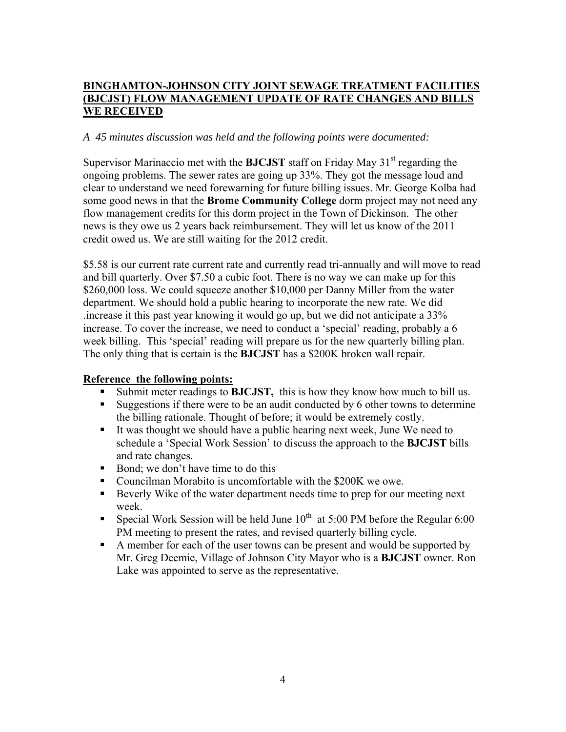## **BINGHAMTON-JOHNSON CITY JOINT SEWAGE TREATMENT FACILITIES (BJCJST) FLOW MANAGEMENT UPDATE OF RATE CHANGES AND BILLS WE RECEIVED**

## *A 45 minutes discussion was held and the following points were documented:*

Supervisor Marinaccio met with the **BJCJST** staff on Friday May  $31<sup>st</sup>$  regarding the ongoing problems. The sewer rates are going up 33%. They got the message loud and clear to understand we need forewarning for future billing issues. Mr. George Kolba had some good news in that the **Brome Community College** dorm project may not need any flow management credits for this dorm project in the Town of Dickinson. The other news is they owe us 2 years back reimbursement. They will let us know of the 2011 credit owed us. We are still waiting for the 2012 credit.

\$5.58 is our current rate current rate and currently read tri-annually and will move to read and bill quarterly. Over \$7.50 a cubic foot. There is no way we can make up for this \$260,000 loss. We could squeeze another \$10,000 per Danny Miller from the water department. We should hold a public hearing to incorporate the new rate. We did .increase it this past year knowing it would go up, but we did not anticipate a 33% increase. To cover the increase, we need to conduct a 'special' reading, probably a 6 week billing. This 'special' reading will prepare us for the new quarterly billing plan. The only thing that is certain is the **BJCJST** has a \$200K broken wall repair.

## **Reference the following points:**

- Submit meter readings to **BJCJST,** this is how they know how much to bill us.
- Suggestions if there were to be an audit conducted by 6 other towns to determine the billing rationale. Thought of before; it would be extremely costly.
- It was thought we should have a public hearing next week, June We need to schedule a 'Special Work Session' to discuss the approach to the **BJCJST** bills and rate changes.
- Bond; we don't have time to do this
- Councilman Morabito is uncomfortable with the \$200K we owe.
- Beverly Wike of the water department needs time to prep for our meeting next week.
- Special Work Session will be held June  $10^{th}$  at 5:00 PM before the Regular 6:00 PM meeting to present the rates, and revised quarterly billing cycle.
- A member for each of the user towns can be present and would be supported by Mr. Greg Deemie, Village of Johnson City Mayor who is a **BJCJST** owner. Ron Lake was appointed to serve as the representative.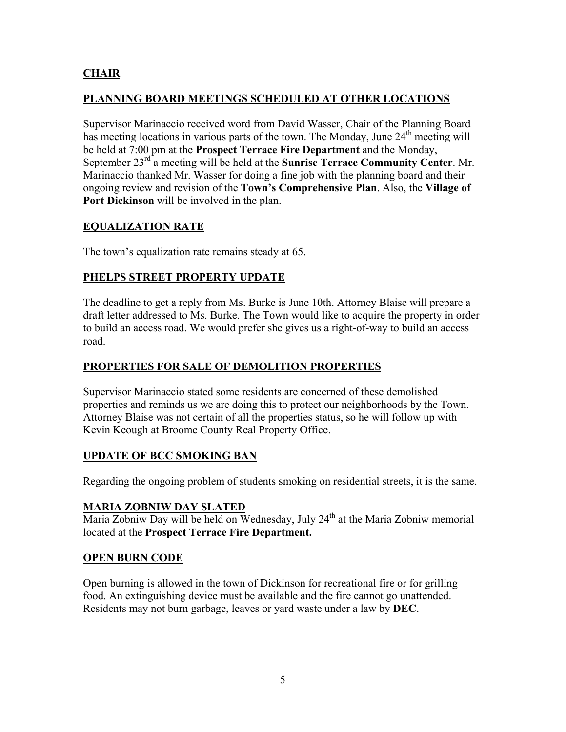## **CHAIR**

## **PLANNING BOARD MEETINGS SCHEDULED AT OTHER LOCATIONS**

Supervisor Marinaccio received word from David Wasser, Chair of the Planning Board has meeting locations in various parts of the town. The Monday, June 24<sup>th</sup> meeting will be held at 7:00 pm at the **Prospect Terrace Fire Department** and the Monday, September 23<sup>rd</sup> a meeting will be held at the **Sunrise Terrace Community Center**. Mr. Marinaccio thanked Mr. Wasser for doing a fine job with the planning board and their ongoing review and revision of the **Town's Comprehensive Plan**. Also, the **Village of Port Dickinson** will be involved in the plan.

## **EQUALIZATION RATE**

The town's equalization rate remains steady at 65.

## **PHELPS STREET PROPERTY UPDATE**

The deadline to get a reply from Ms. Burke is June 10th. Attorney Blaise will prepare a draft letter addressed to Ms. Burke. The Town would like to acquire the property in order to build an access road. We would prefer she gives us a right-of-way to build an access road.

## **PROPERTIES FOR SALE OF DEMOLITION PROPERTIES**

Supervisor Marinaccio stated some residents are concerned of these demolished properties and reminds us we are doing this to protect our neighborhoods by the Town. Attorney Blaise was not certain of all the properties status, so he will follow up with Kevin Keough at Broome County Real Property Office.

## **UPDATE OF BCC SMOKING BAN**

Regarding the ongoing problem of students smoking on residential streets, it is the same.

## **MARIA ZOBNIW DAY SLATED**

Maria Zobniw Day will be held on Wednesday, July 24<sup>th</sup> at the Maria Zobniw memorial located at the **Prospect Terrace Fire Department.** 

## **OPEN BURN CODE**

Open burning is allowed in the town of Dickinson for recreational fire or for grilling food. An extinguishing device must be available and the fire cannot go unattended. Residents may not burn garbage, leaves or yard waste under a law by **DEC**.